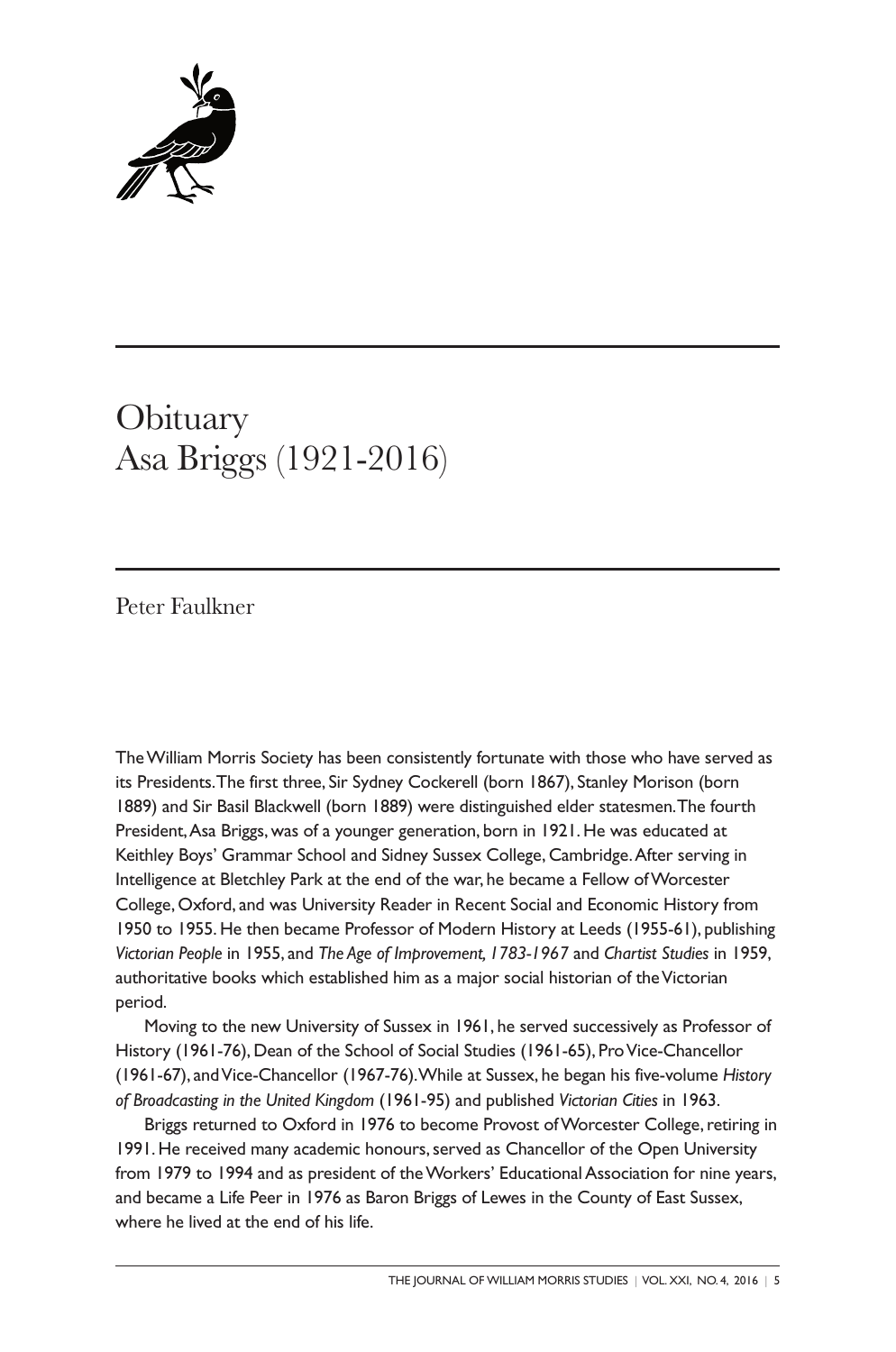

## **Obituary** Asa Briggs (1921-2016)

Peter Faulkner

TheWilliam Morris Society has been consistently fortunate with those who have served as its Presidents.The first three, Sir Sydney Cockerell (born 1867), Stanley Morison (born 1889) and Sir Basil Blackwell (born 1889) were distinguished elder statesmen.The fourth President,Asa Briggs, was of a younger generation, born in 1921. He was educated at Keithley Boys' Grammar School and Sidney Sussex College, Cambridge.After serving in Intelligence at Bletchley Park at the end of the war, he became a Fellow ofWorcester College, Oxford, and was University Reader in Recent Social and Economic History from 1950 to 1955. He then became Professor of Modern History at Leeds (1955-61), publishing *Victorian People* in 1955, and *The Age of Improvement, 1783-1967* and *Chartist Studies* in 1959, authoritative books which established him as a major social historian of the Victorian period.

Moving to the new University of Sussex in 1961, he served successively as Professor of History (1961-76), Dean of the School of Social Studies (1961-65), ProVice-Chancellor (1961-67), andVice-Chancellor (1967-76).While at Sussex, he began his five-volume *History of Broadcasting in the United Kingdom* (1961-95) and published *Victorian Cities* in 1963.

Briggs returned to Oxford in 1976 to become Provost of Worcester College, retiring in 1991. He received many academic honours,served as Chancellor of the Open University from 1979 to 1994 and as president of the Workers' Educational Association for nine years, and became a Life Peer in 1976 as Baron Briggs of Lewes in the County of East Sussex, where he lived at the end of his life.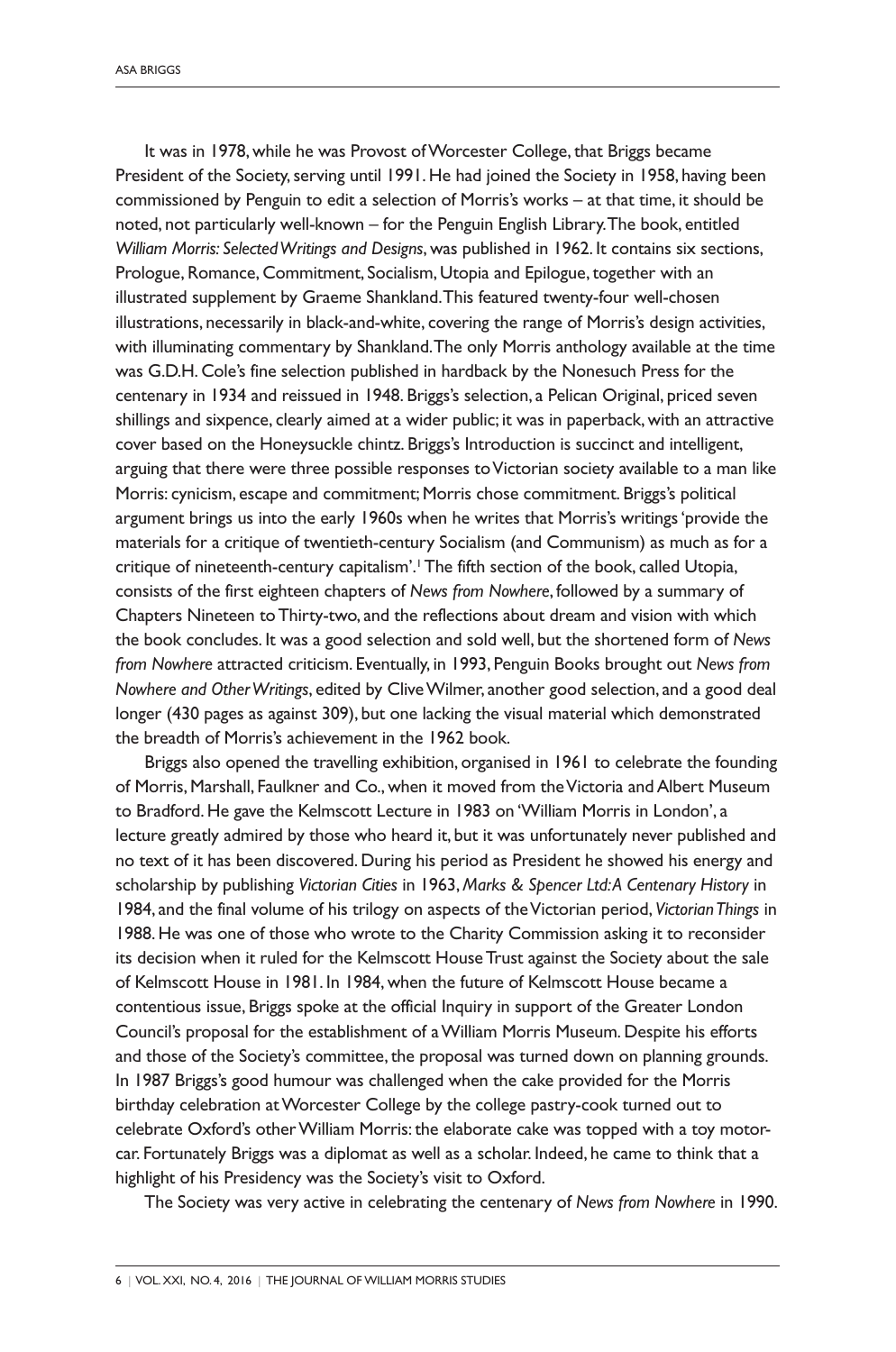It was in 1978, while he was Provost of Worcester College, that Briggs became President of the Society, serving until 1991. He had joined the Society in 1958, having been commissioned by Penguin to edit a selection of Morris's works – at that time, it should be noted, not particularly well-known – for the Penguin English Library.The book, entitled *William Morris: SelectedWritings and Designs*, was published in 1962. It contains six sections, Prologue, Romance, Commitment, Socialism, Utopia and Epilogue, together with an illustrated supplement by Graeme Shankland.This featured twenty-four well-chosen illustrations, necessarily in black-and-white, covering the range of Morris's design activities, with illuminating commentary by Shankland.The only Morris anthology available at the time was G.D.H. Cole's fine selection published in hardback by the Nonesuch Press for the centenary in 1934 and reissued in 1948. Briggs's selection, a Pelican Original, priced seven shillings and sixpence, clearly aimed at a wider public; it was in paperback, with an attractive cover based on the Honeysuckle chintz. Briggs's Introduction is succinct and intelligent, arguing that there were three possible responses toVictorian society available to a man like Morris: cynicism, escape and commitment; Morris chose commitment. Briggs's political argument brings us into the early 1960s when he writes that Morris's writings'provide the materials for a critique of twentieth-century Socialism (and Communism) as much as for a critique of nineteenth-century capitalism'. 1The fifth section of the book, called Utopia, consists of the first eighteen chapters of *News from Nowhere*, followed by a summary of Chapters Nineteen toThirty-two, and the reflections about dream and vision with which the book concludes. It was a good selection and sold well, but the shortened form of *News from Nowhere* attracted criticism. Eventually, in 1993, Penguin Books brought out *News from Nowhere and OtherWritings*, edited by CliveWilmer, another good selection, and a good deal longer (430 pages as against 309), but one lacking the visual material which demonstrated the breadth of Morris's achievement in the 1962 book.

Briggs also opened the travelling exhibition, organised in 1961 to celebrate the founding of Morris, Marshall, Faulkner and Co., when it moved from the Victoria and Albert Museum to Bradford. He gave the Kelmscott Lecture in 1983 on 'William Morris in London', a lecture greatly admired by those who heard it, but it was unfortunately never published and no text of it has been discovered. During his period as President he showed his energy and scholarship by publishing *Victorian Cities* in 1963, *Marks & Spencer Ltd:A Centenary History* in 1984, and the final volume of his trilogy on aspects of theVictorian period, *VictorianThings* in 1988. He was one of those who wrote to the Charity Commission asking it to reconsider its decision when it ruled for the Kelmscott House Trust against the Society about the sale of Kelmscott House in 1981. In 1984, when the future of Kelmscott House became a contentious issue, Briggs spoke at the official Inquiry in support of the Greater London Council's proposal for the establishment of aWilliam Morris Museum. Despite his efforts and those of the Society's committee, the proposal was turned down on planning grounds. In 1987 Briggs's good humour was challenged when the cake provided for the Morris birthday celebration atWorcester College by the college pastry-cook turned out to celebrate Oxford's other William Morris: the elaborate cake was topped with a toy motorcar. Fortunately Briggs was a diplomat as well as a scholar. Indeed, he came to think that a highlight of his Presidency was the Society's visit to Oxford.

The Society was very active in celebrating the centenary of *News from Nowhere* in 1990.